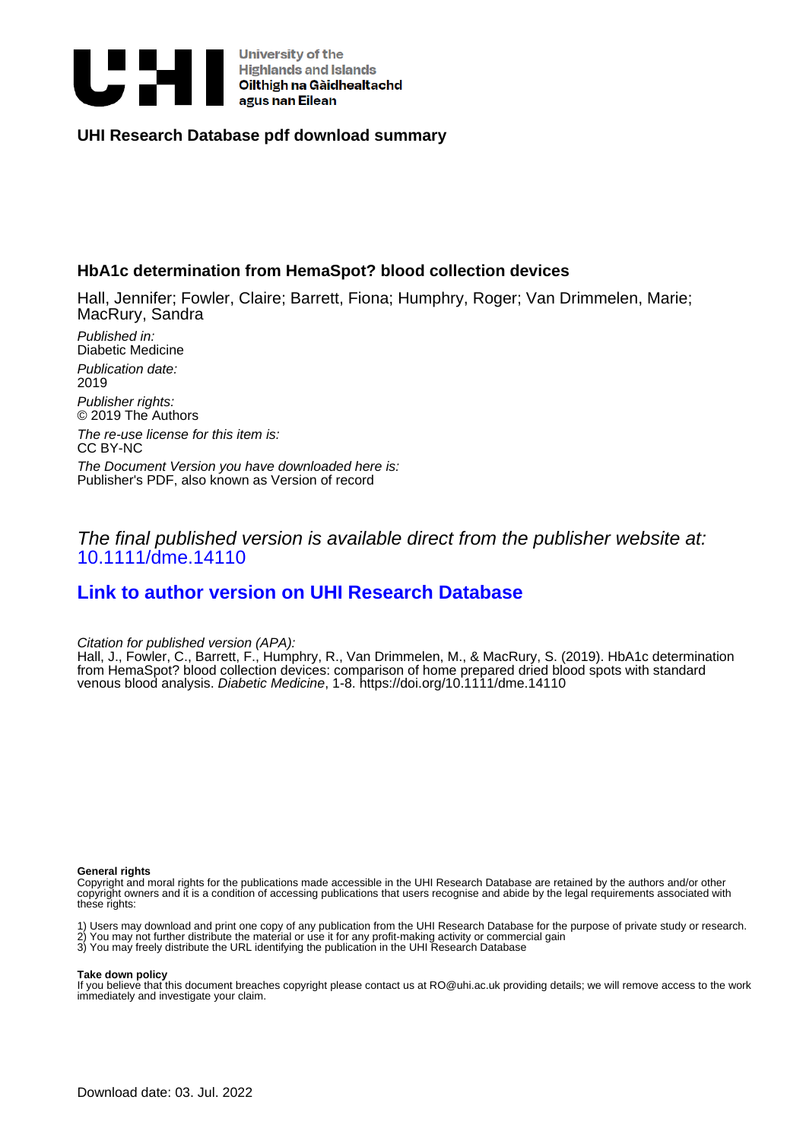

## **UHI Research Database pdf download summary**

# **HbA1c determination from HemaSpot? blood collection devices**

Hall, Jennifer; Fowler, Claire; Barrett, Fiona; Humphry, Roger; Van Drimmelen, Marie; MacRury, Sandra

Published in: Diabetic Medicine Publication date: 2019 Publisher rights: © 2019 The Authors

The re-use license for this item is: CC BY-NC

The Document Version you have downloaded here is: Publisher's PDF, also known as Version of record

The final published version is available direct from the publisher website at: [10.1111/dme.14110](https://doi.org/10.1111/dme.14110)

# **[Link to author version on UHI Research Database](https://pure.uhi.ac.uk/en/publications/7c6add9c-9018-4ad5-8949-527db7ec387f)**

Citation for published version (APA):

Hall, J., Fowler, C., Barrett, F., Humphry, R., Van Drimmelen, M., & MacRury, S. (2019). HbA1c determination from HemaSpot? blood collection devices: comparison of home prepared dried blood spots with standard venous blood analysis. Diabetic Medicine, 1-8.<https://doi.org/10.1111/dme.14110>

### **General rights**

Copyright and moral rights for the publications made accessible in the UHI Research Database are retained by the authors and/or other copyright owners and it is a condition of accessing publications that users recognise and abide by the legal requirements associated with these rights:

1) Users may download and print one copy of any publication from the UHI Research Database for the purpose of private study or research. 2) You may not further distribute the material or use it for any profit-making activity or commercial gain

3) You may freely distribute the URL identifying the publication in the UHI Research Database

#### **Take down policy**

If you believe that this document breaches copyright please contact us at RO@uhi.ac.uk providing details; we will remove access to the work immediately and investigate your claim.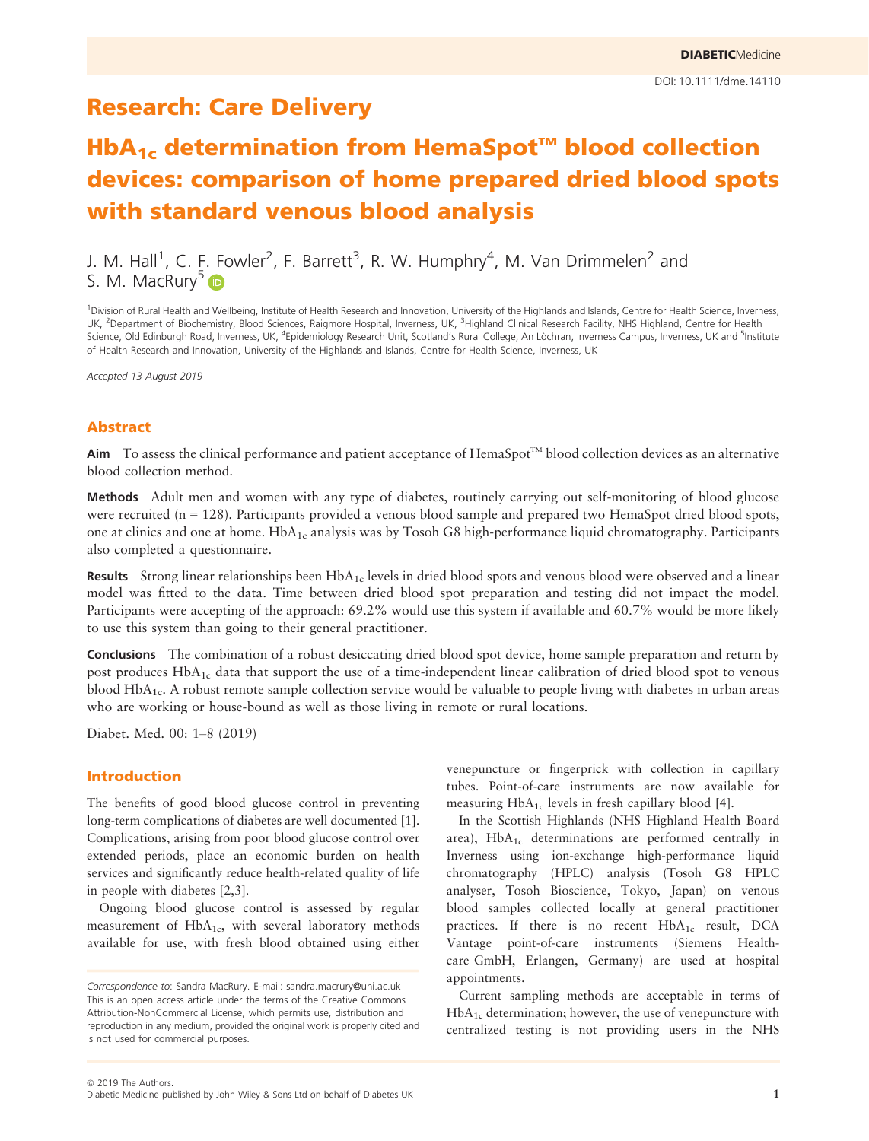# Research: Care Delivery

# $HbA_{1c}$  determination from HemaSpot<sup> $M$ </sup> blood collection devices: comparison of home prepared dried blood spots with standard venous blood analysis

J. M. Hall<sup>1</sup>, C. E. Fowler<sup>2</sup>, F. Barrett<sup>3</sup>, R. W. Humphry<sup>4</sup>, M. Van Drimmelen<sup>2</sup> and S. M. MacRury<sup>[5](https://orcid.org/0000-0001-7599-1302)</sup> D

<sup>1</sup>Division of Rural Health and Wellbeing, Institute of Health Research and Innovation, University of the Highlands and Islands, Centre for Health Science, Inverness, UK, <sup>2</sup>Department of Biochemistry, Blood Sciences, Raigmore Hospital, Inverness, UK, <sup>3</sup>Highland Clinical Research Facility, NHS Highland, Centre for Health Science, Old Edinburgh Road, Inverness, UK, <sup>4</sup>Epidemiology Research Unit, Scotland's Rural College, An Lòchran, Inverness Campus, Inverness, UK and <sup>5</sup>Institute of Health Research and Innovation, University of the Highlands and Islands, Centre for Health Science, Inverness, UK

Accepted 13 August 2019

## Abstract

Aim To assess the clinical performance and patient acceptance of HemaSpot<sup>TM</sup> blood collection devices as an alternative blood collection method.

Methods Adult men and women with any type of diabetes, routinely carrying out self-monitoring of blood glucose were recruited ( $n = 128$ ). Participants provided a venous blood sample and prepared two HemaSpot dried blood spots, one at clinics and one at home. HbA<sub>1c</sub> analysis was by Tosoh G8 high-performance liquid chromatography. Participants also completed a questionnaire.

**Results** Strong linear relationships been  $HbA_{1c}$  levels in dried blood spots and venous blood were observed and a linear model was fitted to the data. Time between dried blood spot preparation and testing did not impact the model. Participants were accepting of the approach: 69.2% would use this system if available and 60.7% would be more likely to use this system than going to their general practitioner.

Conclusions The combination of a robust desiccating dried blood spot device, home sample preparation and return by post produces HbA<sub>1c</sub> data that support the use of a time-independent linear calibration of dried blood spot to venous blood Hb $A_{1c}$ . A robust remote sample collection service would be valuable to people living with diabetes in urban areas who are working or house-bound as well as those living in remote or rural locations.

Diabet. Med. 00: 1–8 (2019)

## Introduction

The benefits of good blood glucose control in preventing long-term complications of diabetes are well documented [1]. Complications, arising from poor blood glucose control over extended periods, place an economic burden on health services and significantly reduce health-related quality of life in people with diabetes [2,3].

Ongoing blood glucose control is assessed by regular measurement of  $HbA_{1c}$ , with several laboratory methods available for use, with fresh blood obtained using either venepuncture or fingerprick with collection in capillary tubes. Point-of-care instruments are now available for measuring HbA<sub>1c</sub> levels in fresh capillary blood [4].

In the Scottish Highlands (NHS Highland Health Board area),  $HbA_{1c}$  determinations are performed centrally in Inverness using ion-exchange high-performance liquid chromatography (HPLC) analysis (Tosoh G8 HPLC analyser, Tosoh Bioscience, Tokyo, Japan) on venous blood samples collected locally at general practitioner practices. If there is no recent  $HbA_{1c}$  result, DCA Vantage point-of-care instruments (Siemens Healthcare GmbH, Erlangen, Germany) are used at hospital appointments.

Current sampling methods are acceptable in terms of  $HbA_{1c}$  determination; however, the use of venepuncture with centralized testing is not providing users in the NHS

Correspondence to: Sandra MacRury. E-mail: [sandra.macrury@uhi.ac.uk](mailto:) This is an open access article under the terms of the [Creative Commons](http://creativecommons.org/licenses/by-nc/4.0/) [Attribution-NonCommercial](http://creativecommons.org/licenses/by-nc/4.0/) License, which permits use, distribution and reproduction in any medium, provided the original work is properly cited and is not used for commercial purposes.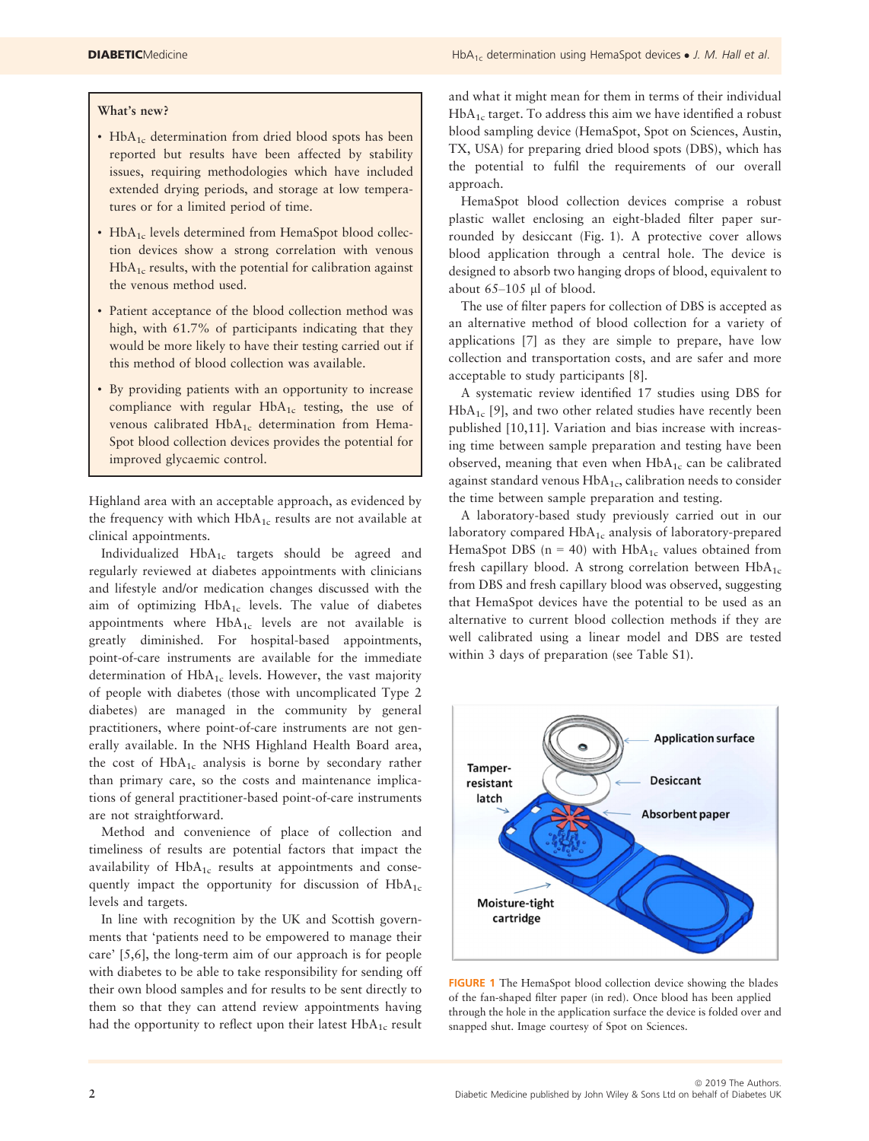#### What's new?

- $HbA_{1c}$  determination from dried blood spots has been reported but results have been affected by stability issues, requiring methodologies which have included extended drying periods, and storage at low temperatures or for a limited period of time.
- HbA<sub>1c</sub> levels determined from HemaSpot blood collection devices show a strong correlation with venous  $HbA<sub>1c</sub>$  results, with the potential for calibration against the venous method used.
- Patient acceptance of the blood collection method was high, with 61.7% of participants indicating that they would be more likely to have their testing carried out if this method of blood collection was available.
- By providing patients with an opportunity to increase compliance with regular  $HbA_{1c}$  testing, the use of venous calibrated  $HbA_{1c}$  determination from Hema-Spot blood collection devices provides the potential for improved glycaemic control.

Highland area with an acceptable approach, as evidenced by the frequency with which  $HbA_{1c}$  results are not available at clinical appointments.

Individualized  $HbA_{1c}$  targets should be agreed and regularly reviewed at diabetes appointments with clinicians and lifestyle and/or medication changes discussed with the aim of optimizing HbA<sub>1c</sub> levels. The value of diabetes appointments where  $HbA_{1c}$  levels are not available is greatly diminished. For hospital-based appointments, point-of-care instruments are available for the immediate determination of  $HbA_{1c}$  levels. However, the vast majority of people with diabetes (those with uncomplicated Type 2 diabetes) are managed in the community by general practitioners, where point-of-care instruments are not generally available. In the NHS Highland Health Board area, the cost of  $HbA_{1c}$  analysis is borne by secondary rather than primary care, so the costs and maintenance implications of general practitioner-based point-of-care instruments are not straightforward.

Method and convenience of place of collection and timeliness of results are potential factors that impact the availability of  $HbA_{1c}$  results at appointments and consequently impact the opportunity for discussion of  $HbA_{1c}$ levels and targets.

In line with recognition by the UK and Scottish governments that 'patients need to be empowered to manage their care' [5,6], the long-term aim of our approach is for people with diabetes to be able to take responsibility for sending off their own blood samples and for results to be sent directly to them so that they can attend review appointments having had the opportunity to reflect upon their latest  $HbA_{1c}$  result and what it might mean for them in terms of their individual  $HbA<sub>1c</sub>$  target. To address this aim we have identified a robust blood sampling device (HemaSpot, Spot on Sciences, Austin, TX, USA) for preparing dried blood spots (DBS), which has the potential to fulfil the requirements of our overall approach.

HemaSpot blood collection devices comprise a robust plastic wallet enclosing an eight-bladed filter paper surrounded by desiccant (Fig. 1). A protective cover allows blood application through a central hole. The device is designed to absorb two hanging drops of blood, equivalent to about  $65-105$  µl of blood.

The use of filter papers for collection of DBS is accepted as an alternative method of blood collection for a variety of applications [7] as they are simple to prepare, have low collection and transportation costs, and are safer and more acceptable to study participants [8].

A systematic review identified 17 studies using DBS for  $HbA_{1c}$  [9], and two other related studies have recently been published [10,11]. Variation and bias increase with increasing time between sample preparation and testing have been observed, meaning that even when  $HbA_{1c}$  can be calibrated against standard venous HbA<sub>1c</sub>, calibration needs to consider the time between sample preparation and testing.

A laboratory-based study previously carried out in our laboratory compared HbA<sub>1c</sub> analysis of laboratory-prepared HemaSpot DBS ( $n = 40$ ) with HbA<sub>1c</sub> values obtained from fresh capillary blood. A strong correlation between  $HbA_{1c}$ from DBS and fresh capillary blood was observed, suggesting that HemaSpot devices have the potential to be used as an alternative to current blood collection methods if they are well calibrated using a linear model and DBS are tested within 3 days of preparation (see Table S1).



FIGURE 1 The HemaSpot blood collection device showing the blades of the fan-shaped filter paper (in red). Once blood has been applied through the hole in the application surface the device is folded over and snapped shut. Image courtesy of Spot on Sciences.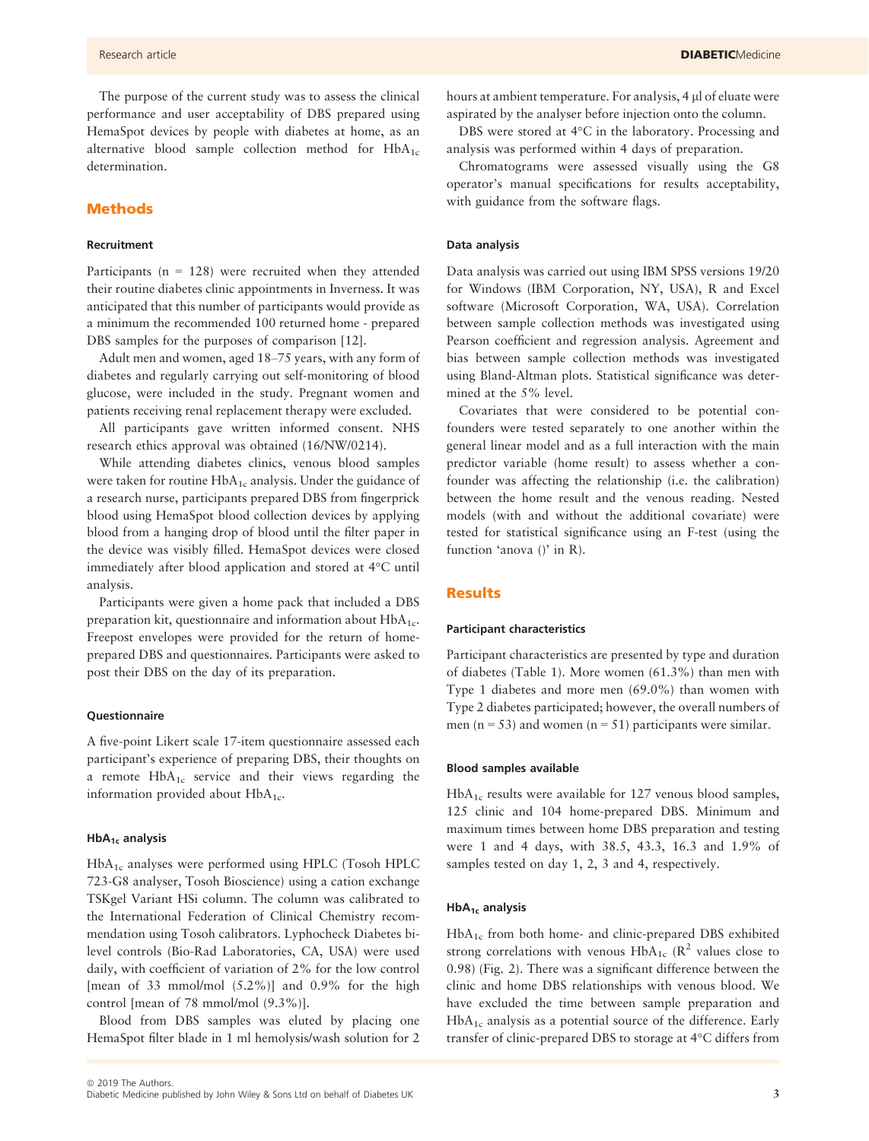The purpose of the current study was to assess the clinical performance and user acceptability of DBS prepared using HemaSpot devices by people with diabetes at home, as an alternative blood sample collection method for  $HbA_{1c}$ determination.

#### Methods

#### Recruitment

Participants ( $n = 128$ ) were recruited when they attended their routine diabetes clinic appointments in Inverness. It was anticipated that this number of participants would provide as a minimum the recommended 100 returned home - prepared DBS samples for the purposes of comparison [12].

Adult men and women, aged 18–75 years, with any form of diabetes and regularly carrying out self-monitoring of blood glucose, were included in the study. Pregnant women and patients receiving renal replacement therapy were excluded.

All participants gave written informed consent. NHS research ethics approval was obtained (16/NW/0214).

While attending diabetes clinics, venous blood samples were taken for routine HbA<sub>1c</sub> analysis. Under the guidance of a research nurse, participants prepared DBS from fingerprick blood using HemaSpot blood collection devices by applying blood from a hanging drop of blood until the filter paper in the device was visibly filled. HemaSpot devices were closed immediately after blood application and stored at 4°C until analysis.

Participants were given a home pack that included a DBS preparation kit, questionnaire and information about  $HbA_{1c}$ . Freepost envelopes were provided for the return of homeprepared DBS and questionnaires. Participants were asked to post their DBS on the day of its preparation.

#### **Questionnaire**

A five-point Likert scale 17-item questionnaire assessed each participant's experience of preparing DBS, their thoughts on a remote  $HbA_{1c}$  service and their views regarding the information provided about  $HbA_{1c}$ .

#### $HbA_{1c}$  analysis

HbA1c analyses were performed using HPLC (Tosoh HPLC 723-G8 analyser, Tosoh Bioscience) using a cation exchange TSKgel Variant HSi column. The column was calibrated to the International Federation of Clinical Chemistry recommendation using Tosoh calibrators. Lyphocheck Diabetes bilevel controls (Bio-Rad Laboratories, CA, USA) were used daily, with coefficient of variation of 2% for the low control [mean of 33 mmol/mol  $(5.2\%)$ ] and 0.9% for the high control [mean of 78 mmol/mol (9.3%)].

Blood from DBS samples was eluted by placing one HemaSpot filter blade in 1 ml hemolysis/wash solution for 2 hours at ambient temperature. For analysis, 4 µ of eluate were aspirated by the analyser before injection onto the column.

DBS were stored at 4°C in the laboratory. Processing and analysis was performed within 4 days of preparation.

Chromatograms were assessed visually using the G8 operator's manual specifications for results acceptability, with guidance from the software flags.

#### Data analysis

Data analysis was carried out using IBM SPSS versions 19/20 for Windows (IBM Corporation, NY, USA), R and Excel software (Microsoft Corporation, WA, USA). Correlation between sample collection methods was investigated using Pearson coefficient and regression analysis. Agreement and bias between sample collection methods was investigated using Bland-Altman plots. Statistical significance was determined at the 5% level.

Covariates that were considered to be potential confounders were tested separately to one another within the general linear model and as a full interaction with the main predictor variable (home result) to assess whether a confounder was affecting the relationship (i.e. the calibration) between the home result and the venous reading. Nested models (with and without the additional covariate) were tested for statistical significance using an F-test (using the function 'anova ()' in R).

#### **Results**

#### Participant characteristics

Participant characteristics are presented by type and duration of diabetes (Table 1). More women (61.3%) than men with Type 1 diabetes and more men (69.0%) than women with Type 2 diabetes participated; however, the overall numbers of men (n = 53) and women (n = 51) participants were similar.

#### Blood samples available

 $HbA_{1c}$  results were available for 127 venous blood samples, 125 clinic and 104 home-prepared DBS. Minimum and maximum times between home DBS preparation and testing were 1 and 4 days, with 38.5, 43.3, 16.3 and 1.9% of samples tested on day 1, 2, 3 and 4, respectively.

#### $HbA_{1c}$  analysis

HbA1c from both home- and clinic-prepared DBS exhibited strong correlations with venous HbA<sub>1c</sub> ( $\mathbb{R}^2$  values close to 0.98) (Fig. 2). There was a significant difference between the clinic and home DBS relationships with venous blood. We have excluded the time between sample preparation and  $HbA<sub>1c</sub>$  analysis as a potential source of the difference. Early transfer of clinic-prepared DBS to storage at 4°C differs from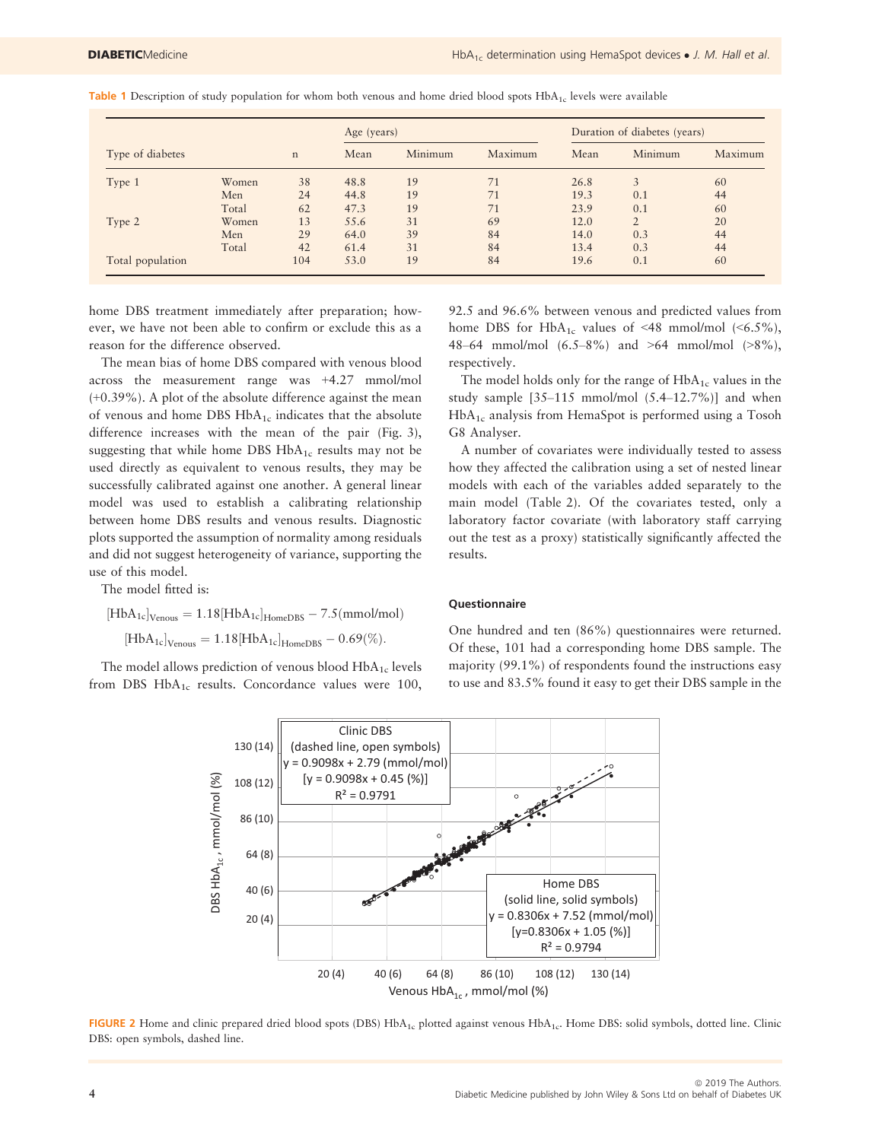|                  |       | $\mathbf n$ | Age (years) |         |         | Duration of diabetes (years) |          |         |
|------------------|-------|-------------|-------------|---------|---------|------------------------------|----------|---------|
| Type of diabetes |       |             | Mean        | Minimum | Maximum | Mean                         | Minimum  | Maximum |
| Type 1           | Women | 38          | 48.8        | 19      | 71      | 26.8                         |          | 60      |
|                  | Men   | 24          | 44.8        | 19      | 71      | 19.3                         | 0.1      | 44      |
|                  | Total | 62          | 47.3        | 19      | 71      | 23.9                         | 0.1      | 60      |
| Type 2           | Women | 13          | 55.6        | 31      | 69      | 12.0                         | $\gamma$ | 20      |
|                  | Men   | 29          | 64.0        | 39      | 84      | 14.0                         | 0.3      | 44      |
|                  | Total | 42          | 61.4        | 31      | 84      | 13.4                         | 0.3      | 44      |
| Total population |       | 104         | 53.0        | 19      | 84      | 19.6                         | 0.1      | 60      |

Table 1 Description of study population for whom both venous and home dried blood spots HbA<sub>1c</sub> levels were available

home DBS treatment immediately after preparation; however, we have not been able to confirm or exclude this as a reason for the difference observed.

The mean bias of home DBS compared with venous blood across the measurement range was +4.27 mmol/mol (+0.39%). A plot of the absolute difference against the mean of venous and home DBS  $HbA_{1c}$  indicates that the absolute difference increases with the mean of the pair (Fig. 3), suggesting that while home DBS  $HbA_{1c}$  results may not be used directly as equivalent to venous results, they may be successfully calibrated against one another. A general linear model was used to establish a calibrating relationship between home DBS results and venous results. Diagnostic plots supported the assumption of normality among residuals and did not suggest heterogeneity of variance, supporting the use of this model.

The model fitted is:

$$
\begin{aligned}[HbA_{1c}]_{Venous} &= 1.18[HbA_{1c}]_{HomeDBS} - 7.5 (mmol/mol)\\ [HbA_{1c}]_{Venous} &= 1.18[HbA_{1c}]_{HomeDBS} - 0.69(\%). \end{aligned}
$$

The model allows prediction of venous blood  $HbA_{1c}$  levels from DBS  $HbA_{1c}$  results. Concordance values were 100,

92.5 and 96.6% between venous and predicted values from home DBS for  $HbA_{1c}$  values of <48 mmol/mol (<6.5%), 48–64 mmol/mol (6.5–8%) and >64 mmol/mol (>8%), respectively.

The model holds only for the range of  $HbA_{1c}$  values in the study sample  $[35-115 \text{ mmol/mol } (5.4-12.7\%)]$  and when HbA1c analysis from HemaSpot is performed using a Tosoh G8 Analyser.

A number of covariates were individually tested to assess how they affected the calibration using a set of nested linear models with each of the variables added separately to the main model (Table 2). Of the covariates tested, only a laboratory factor covariate (with laboratory staff carrying out the test as a proxy) statistically significantly affected the results.

#### **Questionnaire**

One hundred and ten (86%) questionnaires were returned. Of these, 101 had a corresponding home DBS sample. The majority (99.1%) of respondents found the instructions easy to use and 83.5% found it easy to get their DBS sample in the



FIGURE 2 Home and clinic prepared dried blood spots (DBS) HbA<sub>1c</sub> plotted against venous HbA<sub>1c</sub>. Home DBS: solid symbols, dotted line. Clinic DBS: open symbols, dashed line.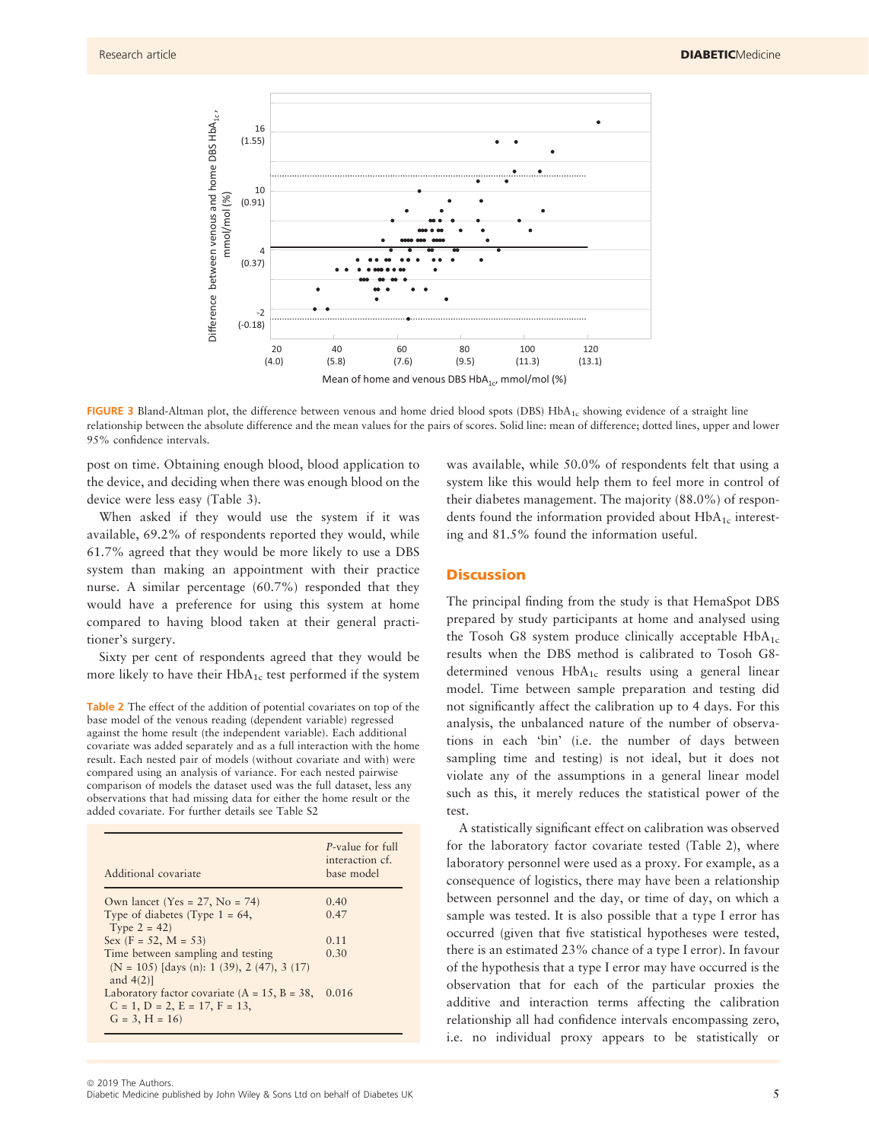

FIGURE 3 Bland-Altman plot, the difference between venous and home dried blood spots (DBS) HbA<sub>1c</sub> showing evidence of a straight line relationship between the absolute difference and the mean values for the pairs of scores. Solid line: mean of difference; dotted lines, upper and lower 95% confidence intervals.

post on time. Obtaining enough blood, blood application to the device, and deciding when there was enough blood on the device were less easy (Table 3).

When asked if they would use the system if it was available, 69.2% of respondents reported they would, while 61.7% agreed that they would be more likely to use a DBS system than making an appointment with their practice nurse. A similar percentage (60.7%) responded that they would have a preference for using this system at home compared to having blood taken at their general practitioner's surgery.

Sixty per cent of respondents agreed that they would be more likely to have their  $HbA_{1c}$  test performed if the system

Table 2 The effect of the addition of potential covariates on top of the base model of the venous reading (dependent variable) regressed against the home result (the independent variable). Each additional covariate was added separately and as a full interaction with the home result. Each nested pair of models (without covariate and with) were compared using an analysis of variance. For each nested pairwise comparison of models the dataset used was the full dataset, less any observations that had missing data for either the home result or the added covariate. For further details see Table S2

| Additional covariate                                                                                              | P-value for full<br>interaction cf.<br>base model |
|-------------------------------------------------------------------------------------------------------------------|---------------------------------------------------|
| Own lancet (Yes = $27$ , No = 74)                                                                                 | 0.40                                              |
| Type of diabetes (Type $1 = 64$ ,<br>Type $2 = 42$ )                                                              | 0.47                                              |
| Sex $(F = 52, M = 53)$                                                                                            | 0.11                                              |
| Time between sampling and testing<br>$(N = 105)$ [days (n): 1 (39), 2 (47), 3 (17)<br>and $4(2)$ ]                | 0.30                                              |
| Laboratory factor covariate $(A = 15, B = 38,$<br>$C = 1$ , $D = 2$ , $E = 17$ , $F = 13$ ,<br>$G = 3$ , $H = 16$ | 0.016                                             |

was available, while 50.0% of respondents felt that using a system like this would help them to feel more in control of their diabetes management. The majority (88.0%) of respondents found the information provided about  $HbA_{1c}$  interesting and 81.5% found the information useful.

#### **Discussion**

The principal finding from the study is that HemaSpot DBS prepared by study participants at home and analysed using the Tosoh G8 system produce clinically acceptable  $HbA_{1c}$ results when the DBS method is calibrated to Tosoh G8 determined venous  $HbA_{1c}$  results using a general linear model. Time between sample preparation and testing did not significantly affect the calibration up to 4 days. For this analysis, the unbalanced nature of the number of observations in each 'bin' (i.e. the number of days between sampling time and testing) is not ideal, but it does not violate any of the assumptions in a general linear model such as this, it merely reduces the statistical power of the test.

A statistically significant effect on calibration was observed for the laboratory factor covariate tested (Table 2), where laboratory personnel were used as a proxy. For example, as a consequence of logistics, there may have been a relationship between personnel and the day, or time of day, on which a sample was tested. It is also possible that a type I error has occurred (given that five statistical hypotheses were tested, there is an estimated 23% chance of a type I error). In favour of the hypothesis that a type I error may have occurred is the observation that for each of the particular proxies the additive and interaction terms affecting the calibration relationship all had confidence intervals encompassing zero, i.e. no individual proxy appears to be statistically or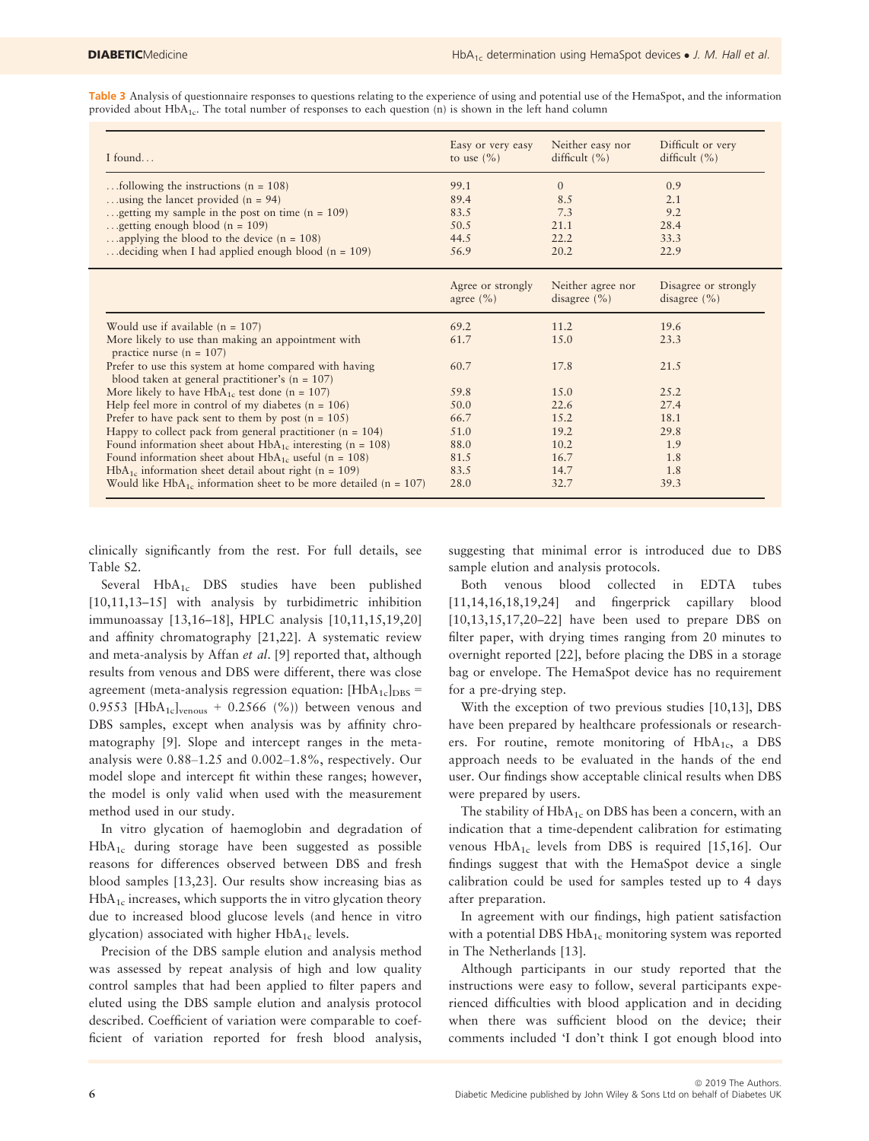Table 3 Analysis of questionnaire responses to questions relating to the experience of using and potential use of the HemaSpot, and the information provided about HbA<sub>1c</sub>. The total number of responses to each question (n) is shown in the left hand column

| I found                                                                                                     | Easy or very easy<br>to use $(\% )$ | Neither easy nor<br>difficult $(\% )$ | Difficult or very<br>difficult $(\% )$   |
|-------------------------------------------------------------------------------------------------------------|-------------------------------------|---------------------------------------|------------------------------------------|
| tollowing the instructions ( $n = 108$ )                                                                    | 99.1                                | $\Omega$                              | 0.9                                      |
| using the lancet provided $(n = 94)$                                                                        | 89.4                                | 8.5                                   | 2.1                                      |
| getting my sample in the post on time $(n = 109)$                                                           | 83.5                                | 7.3                                   | 9.2                                      |
| getting enough blood ( $n = 109$ )                                                                          | 50.5                                | 21.1                                  | 28.4                                     |
| applying the blood to the device $(n = 108)$                                                                | 44.5                                | 22.2                                  | 33.3                                     |
| deciding when I had applied enough blood ( $n = 109$ )                                                      | 56.9                                | 20.2                                  | 22.9                                     |
|                                                                                                             | Agree or strongly<br>agree $(\% )$  | Neither agree nor<br>disagree $(\% )$ | Disagree or strongly<br>disagree $(\% )$ |
| Would use if available $(n = 107)$                                                                          | 69.2                                | 11.2                                  | 19.6                                     |
| More likely to use than making an appointment with<br>practice nurse ( $n = 107$ )                          | 61.7                                | 15.0                                  | 23.3                                     |
| Prefer to use this system at home compared with having<br>blood taken at general practitioner's $(n = 107)$ | 60.7                                | 17.8                                  | 21.5                                     |

| Prefer to use this system at home compared with having                | 60.7 | 17.8  | 21.5  |  |
|-----------------------------------------------------------------------|------|-------|-------|--|
| blood taken at general practitioner's $(n = 107)$                     |      |       |       |  |
| More likely to have $HbA_{1c}$ test done (n = 107)                    | 59.8 | 1.5.0 | 2.5.2 |  |
| Help feel more in control of my diabetes $(n = 106)$                  | 50.0 | 22.6  | 27.4  |  |
| Prefer to have pack sent to them by post $(n = 105)$                  | 66.7 | 1.5.2 | 18.1  |  |
| Happy to collect pack from general practitioner ( $n = 104$ )         | 51.0 | 19.2  | 29.8  |  |
| Found information sheet about $HbA_{1c}$ interesting (n = 108)        | 88.0 | 10.2  | 1.9   |  |
| Found information sheet about $HbA_{1c}$ useful (n = 108)             | 81.5 | 16.7  | 1.8   |  |
| $HbA_{1c}$ information sheet detail about right (n = 109)             | 83.5 | 14.7  | 1.8   |  |
| Would like $HbA_{1c}$ information sheet to be more detailed (n = 107) | 28.0 | 32.7  | 39.3  |  |
|                                                                       |      |       |       |  |

clinically significantly from the rest. For full details, see Table S2.

Several HbA<sub>1c</sub> DBS studies have been published [10,11,13-15] with analysis by turbidimetric inhibition immunoassay [13,16–18], HPLC analysis [10,11,15,19,20] and affinity chromatography [21,22]. A systematic review and meta-analysis by Affan et al. [9] reported that, although results from venous and DBS were different, there was close agreement (meta-analysis regression equation:  $[HbA<sub>1c</sub>]<sub>DBS</sub> =$ 0.9553 [HbA<sub>1c</sub>]<sub>venous</sub> + 0.2566 (%)) between venous and DBS samples, except when analysis was by affinity chromatography [9]. Slope and intercept ranges in the metaanalysis were 0.88–1.25 and 0.002–1.8%, respectively. Our model slope and intercept fit within these ranges; however, the model is only valid when used with the measurement method used in our study.

In vitro glycation of haemoglobin and degradation of  $HbA_{1c}$  during storage have been suggested as possible reasons for differences observed between DBS and fresh blood samples [13,23]. Our results show increasing bias as  $HbA<sub>1c</sub>$  increases, which supports the in vitro glycation theory due to increased blood glucose levels (and hence in vitro glycation) associated with higher  $HbA_{1c}$  levels.

Precision of the DBS sample elution and analysis method was assessed by repeat analysis of high and low quality control samples that had been applied to filter papers and eluted using the DBS sample elution and analysis protocol described. Coefficient of variation were comparable to coefficient of variation reported for fresh blood analysis, suggesting that minimal error is introduced due to DBS sample elution and analysis protocols.

Both venous blood collected in EDTA tubes [11,14,16,18,19,24] and fingerprick capillary blood [10,13,15,17,20–22] have been used to prepare DBS on filter paper, with drying times ranging from 20 minutes to overnight reported [22], before placing the DBS in a storage bag or envelope. The HemaSpot device has no requirement for a pre-drying step.

With the exception of two previous studies [10,13], DBS have been prepared by healthcare professionals or researchers. For routine, remote monitoring of  $HbA<sub>1c</sub>$ , a DBS approach needs to be evaluated in the hands of the end user. Our findings show acceptable clinical results when DBS were prepared by users.

The stability of HbA<sub>1c</sub> on DBS has been a concern, with an indication that a time-dependent calibration for estimating venous  $HbA_{1c}$  levels from DBS is required [15,16]. Our findings suggest that with the HemaSpot device a single calibration could be used for samples tested up to 4 days after preparation.

In agreement with our findings, high patient satisfaction with a potential DBS  $HbA_{1c}$  monitoring system was reported in The Netherlands [13].

Although participants in our study reported that the instructions were easy to follow, several participants experienced difficulties with blood application and in deciding when there was sufficient blood on the device; their comments included 'I don't think I got enough blood into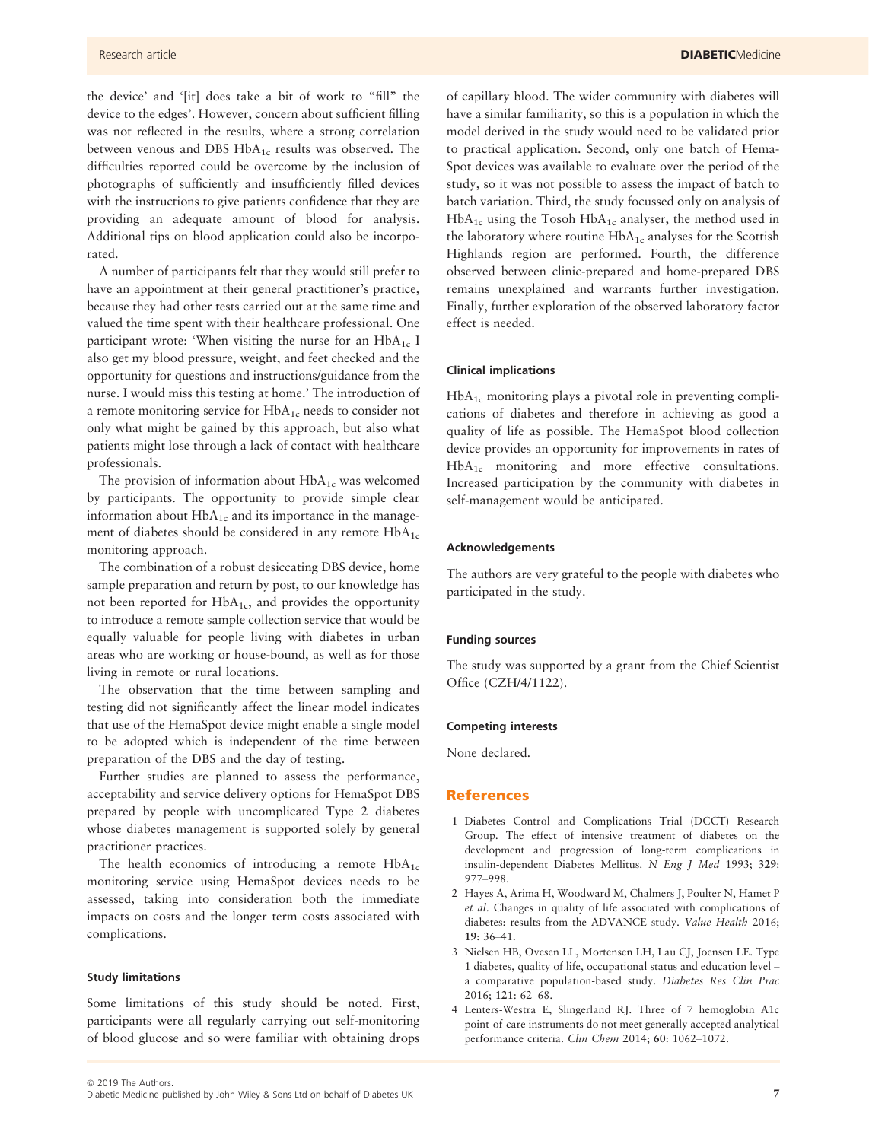the device' and '[it] does take a bit of work to "fill" the device to the edges'. However, concern about sufficient filling was not reflected in the results, where a strong correlation between venous and DBS HbA<sub>1c</sub> results was observed. The difficulties reported could be overcome by the inclusion of photographs of sufficiently and insufficiently filled devices with the instructions to give patients confidence that they are providing an adequate amount of blood for analysis. Additional tips on blood application could also be incorporated.

A number of participants felt that they would still prefer to have an appointment at their general practitioner's practice, because they had other tests carried out at the same time and valued the time spent with their healthcare professional. One participant wrote: 'When visiting the nurse for an  $HbA_{1c}$  I also get my blood pressure, weight, and feet checked and the opportunity for questions and instructions/guidance from the nurse. I would miss this testing at home.' The introduction of a remote monitoring service for  $HbA_{1c}$  needs to consider not only what might be gained by this approach, but also what patients might lose through a lack of contact with healthcare professionals.

The provision of information about  $HbA_{1c}$  was welcomed by participants. The opportunity to provide simple clear information about  $HbA_{1c}$  and its importance in the management of diabetes should be considered in any remote  $HbA_{1c}$ monitoring approach.

The combination of a robust desiccating DBS device, home sample preparation and return by post, to our knowledge has not been reported for  $HbA_{1c}$ , and provides the opportunity to introduce a remote sample collection service that would be equally valuable for people living with diabetes in urban areas who are working or house-bound, as well as for those living in remote or rural locations.

The observation that the time between sampling and testing did not significantly affect the linear model indicates that use of the HemaSpot device might enable a single model to be adopted which is independent of the time between preparation of the DBS and the day of testing.

Further studies are planned to assess the performance, acceptability and service delivery options for HemaSpot DBS prepared by people with uncomplicated Type 2 diabetes whose diabetes management is supported solely by general practitioner practices.

The health economics of introducing a remote  $HbA_{1c}$ monitoring service using HemaSpot devices needs to be assessed, taking into consideration both the immediate impacts on costs and the longer term costs associated with complications.

#### Study limitations

Some limitations of this study should be noted. First, participants were all regularly carrying out self-monitoring of blood glucose and so were familiar with obtaining drops of capillary blood. The wider community with diabetes will have a similar familiarity, so this is a population in which the model derived in the study would need to be validated prior to practical application. Second, only one batch of Hema-Spot devices was available to evaluate over the period of the study, so it was not possible to assess the impact of batch to batch variation. Third, the study focussed only on analysis of  $HbA_{1c}$  using the Tosoh  $HbA_{1c}$  analyser, the method used in the laboratory where routine  $HbA_{1c}$  analyses for the Scottish Highlands region are performed. Fourth, the difference observed between clinic-prepared and home-prepared DBS remains unexplained and warrants further investigation. Finally, further exploration of the observed laboratory factor effect is needed.

#### Clinical implications

 $HbA_{1c}$  monitoring plays a pivotal role in preventing complications of diabetes and therefore in achieving as good a quality of life as possible. The HemaSpot blood collection device provides an opportunity for improvements in rates of HbA<sub>1c</sub> monitoring and more effective consultations. Increased participation by the community with diabetes in self-management would be anticipated.

#### Acknowledgements

The authors are very grateful to the people with diabetes who participated in the study.

#### Funding sources

The study was supported by a grant from the Chief Scientist Office (CZH/4/1122).

#### Competing interests

None declared.

#### References

- 1 Diabetes Control and Complications Trial (DCCT) Research Group. The effect of intensive treatment of diabetes on the development and progression of long-term complications in insulin-dependent Diabetes Mellitus. N Eng J Med 1993; 329: 977–998.
- 2 Hayes A, Arima H, Woodward M, Chalmers J, Poulter N, Hamet P et al. Changes in quality of life associated with complications of diabetes: results from the ADVANCE study. Value Health 2016; 19: 36–41.
- 3 Nielsen HB, Ovesen LL, Mortensen LH, Lau CJ, Joensen LE. Type 1 diabetes, quality of life, occupational status and education level – a comparative population-based study. Diabetes Res Clin Prac 2016; 121: 62–68.
- 4 Lenters-Westra E, Slingerland RJ. Three of 7 hemoglobin A1c point-of-care instruments do not meet generally accepted analytical performance criteria. Clin Chem 2014; 60: 1062–1072.